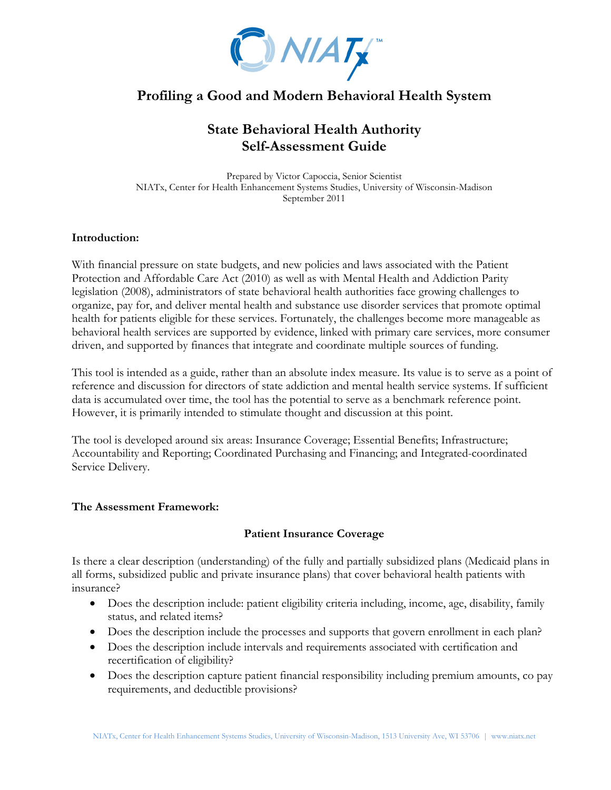

# **Profiling a Good and Modern Behavioral Health System**

# **State Behavioral Health Authority Self-Assessment Guide**

Prepared by Victor Capoccia, Senior Scientist NIATx, Center for Health Enhancement Systems Studies, University of Wisconsin-Madison September 2011

#### **Introduction:**

With financial pressure on state budgets, and new policies and laws associated with the Patient Protection and Affordable Care Act (2010) as well as with Mental Health and Addiction Parity legislation (2008), administrators of state behavioral health authorities face growing challenges to organize, pay for, and deliver mental health and substance use disorder services that promote optimal health for patients eligible for these services. Fortunately, the challenges become more manageable as behavioral health services are supported by evidence, linked with primary care services, more consumer driven, and supported by finances that integrate and coordinate multiple sources of funding.

This tool is intended as a guide, rather than an absolute index measure. Its value is to serve as a point of reference and discussion for directors of state addiction and mental health service systems. If sufficient data is accumulated over time, the tool has the potential to serve as a benchmark reference point. However, it is primarily intended to stimulate thought and discussion at this point.

The tool is developed around six areas: Insurance Coverage; Essential Benefits; Infrastructure; Accountability and Reporting; Coordinated Purchasing and Financing; and Integrated-coordinated Service Delivery.

#### **The Assessment Framework:**

#### **Patient Insurance Coverage**

Is there a clear description (understanding) of the fully and partially subsidized plans (Medicaid plans in all forms, subsidized public and private insurance plans) that cover behavioral health patients with insurance?

- Does the description include: patient eligibility criteria including, income, age, disability, family status, and related items?
- Does the description include the processes and supports that govern enrollment in each plan?
- Does the description include intervals and requirements associated with certification and recertification of eligibility?
- Does the description capture patient financial responsibility including premium amounts, co pay requirements, and deductible provisions?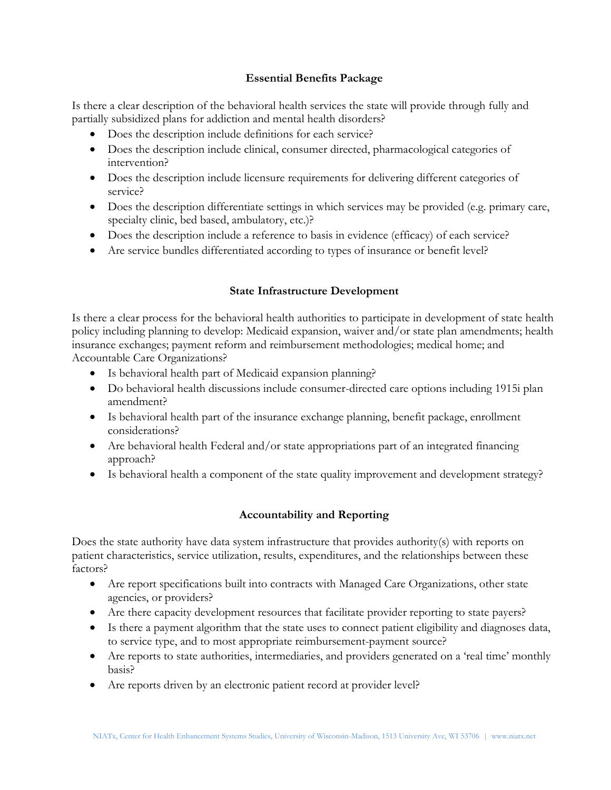### **Essential Benefits Package**

Is there a clear description of the behavioral health services the state will provide through fully and partially subsidized plans for addiction and mental health disorders?

- Does the description include definitions for each service?
- Does the description include clinical, consumer directed, pharmacological categories of intervention?
- Does the description include licensure requirements for delivering different categories of service?
- Does the description differentiate settings in which services may be provided (e.g. primary care, specialty clinic, bed based, ambulatory, etc.)?
- Does the description include a reference to basis in evidence (efficacy) of each service?
- Are service bundles differentiated according to types of insurance or benefit level?

## **State Infrastructure Development**

Is there a clear process for the behavioral health authorities to participate in development of state health policy including planning to develop: Medicaid expansion, waiver and/or state plan amendments; health insurance exchanges; payment reform and reimbursement methodologies; medical home; and Accountable Care Organizations?

- Is behavioral health part of Medicaid expansion planning?
- Do behavioral health discussions include consumer-directed care options including 1915i plan amendment?
- Is behavioral health part of the insurance exchange planning, benefit package, enrollment considerations?
- Are behavioral health Federal and/or state appropriations part of an integrated financing approach?
- Is behavioral health a component of the state quality improvement and development strategy?

## **Accountability and Reporting**

Does the state authority have data system infrastructure that provides authority(s) with reports on patient characteristics, service utilization, results, expenditures, and the relationships between these factors?

- Are report specifications built into contracts with Managed Care Organizations, other state agencies, or providers?
- Are there capacity development resources that facilitate provider reporting to state payers?
- Is there a payment algorithm that the state uses to connect patient eligibility and diagnoses data, to service type, and to most appropriate reimbursement-payment source?
- Are reports to state authorities, intermediaries, and providers generated on a 'real time' monthly basis?
- Are reports driven by an electronic patient record at provider level?